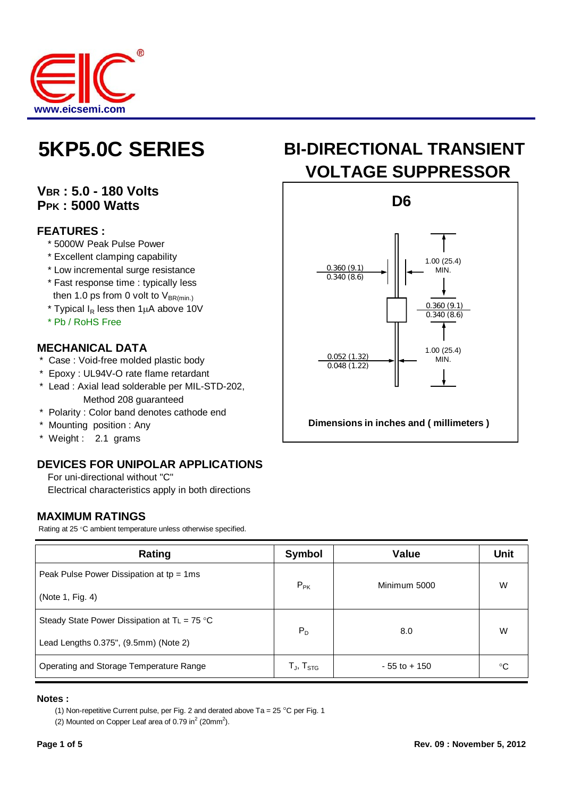

## **VBR : 5.0 - 180 Volts PPK : 5000 Watts**

#### **FEATURES :**

- \* 5000W Peak Pulse Power
- \* Excellent clamping capability
- \* Low incremental surge resistance
- \* Fast response time : typically less then 1.0 ps from 0 volt to  $V_{BR(min)}$
- \* Typical  $I_R$  less then 1 $\mu$ A above 10V
- \* Pb / RoHS Free

### **MECHANICAL DATA**

- \* Case : Void-free molded plastic body
- \* Epoxy : UL94V-O rate flame retardant
- \* Lead : Axial lead solderable per MIL-STD-202, Method 208 guaranteed
- \* Polarity : Color band denotes cathode end
- \* Mounting position : Any
- \* Weight : 2.1 grams

### **DEVICES FOR UNIPOLAR APPLICATIONS**

For uni-directional without "C"

Electrical characteristics apply in both directions

#### **MAXIMUM RATINGS**

Rating at 25 °C ambient temperature unless otherwise specified.

| Rating                                          | <b>Symbol</b>                                          | <b>Value</b>    | Unit |
|-------------------------------------------------|--------------------------------------------------------|-----------------|------|
| Peak Pulse Power Dissipation at $tp = 1ms$      | $P_{PK}$                                               | Minimum 5000    | W    |
| (Note 1, Fig. 4)                                |                                                        |                 |      |
| Steady State Power Dissipation at $T_L = 75$ °C | $P_D$                                                  | 8.0             | W    |
| Lead Lengths 0.375", (9.5mm) (Note 2)           |                                                        |                 |      |
| Operating and Storage Temperature Range         | $\mathsf{T}_{\mathsf{J}},\, \mathsf{T}_{\mathsf{STG}}$ | $-55$ to $+150$ | °C   |

#### **Notes :**

(1) Non-repetitive Current pulse, per Fig. 2 and derated above Ta =  $25^{\circ}$ C per Fig. 1

(2) Mounted on Copper Leaf area of 0.79 in<sup>2</sup> (20mm<sup>2</sup>).

# **5KP5.0C SERIES** BI-DIRECTIONAL TRANSIENT **VOLTAGE SUPPRESSOR**



**Dimensions in inches and ( millimeters )**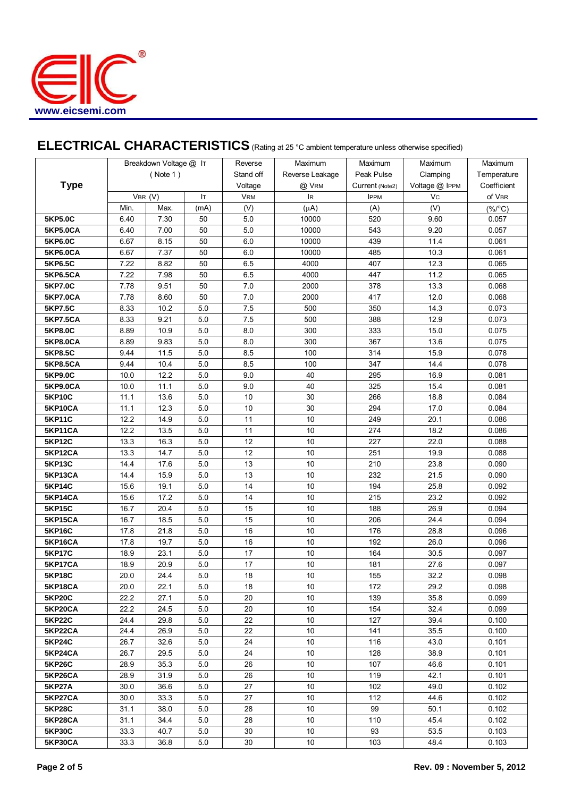

# ELECTRICAL CHARACTERISTICS (Rating at 25 °C ambient temperature unless otherwise specified)

|                 |               | Breakdown Voltage @ IT |         | Reverse    | Maximum         | Maximum         | Maximum        | Maximum            |
|-----------------|---------------|------------------------|---------|------------|-----------------|-----------------|----------------|--------------------|
| <b>Type</b>     | (Note 1)      |                        |         | Stand off  | Reverse Leakage | Peak Pulse      | Clamping       | Temperature        |
|                 |               |                        |         | Voltage    | @ VRM           | Current (Note2) | Voltage @ IPPM | Coefficient        |
|                 | VBR (V)<br>Iт |                        |         | <b>VRM</b> | <b>IR</b>       | <b>IPPM</b>     | Vc             | of VBR             |
|                 | Min.          | Max.                   | (mA)    | (V)        | $(\mu A)$       | (A)             | (V)            | $(\% / ^{\circ}C)$ |
| 5KP5.0C         | 6.40          | 7.30                   | 50      | 5.0        | 10000           | 520             | 9.60           | 0.057              |
| 5KP5.0CA        | 6.40          | 7.00                   | 50      | 5.0        | 10000           | 543             | 9.20           | 0.057              |
| 5KP6.0C         | 6.67          | 8.15                   | 50      | 6.0        | 10000           | 439             | 11.4           | 0.061              |
| 5KP6.0CA        | 6.67          | 7.37                   | 50      | 6.0        | 10000           | 485             | 10.3           | 0.061              |
| 5KP6.5C         | 7.22          | 8.82                   | 50      | 6.5        | 4000            | 407             | 12.3           | 0.065              |
| 5KP6.5CA        | 7.22          | 7.98                   | 50      | 6.5        | 4000            | 447             | 11.2           | 0.065              |
| <b>5KP7.0C</b>  | 7.78          | 9.51                   | 50      | 7.0        | 2000            | 378             | 13.3           | 0.068              |
| <b>5KP7.0CA</b> | 7.78          | 8.60                   | 50      | 7.0        | 2000            | 417             | 12.0           | 0.068              |
| 5KP7.5C         | 8.33          | 10.2                   | 5.0     | 7.5        | 500             | 350             | 14.3           | 0.073              |
| <b>5KP7.5CA</b> | 8.33          | 9.21                   | 5.0     | 7.5        | 500             | 388             | 12.9           | 0.073              |
| <b>5KP8.0C</b>  | 8.89          | 10.9                   | 5.0     | 8.0        | 300             | 333             | 15.0           | 0.075              |
| <b>5KP8.0CA</b> | 8.89          | 9.83                   | 5.0     | 8.0        | 300             | 367             | 13.6           | 0.075              |
| 5KP8.5C         | 9.44          | 11.5                   | 5.0     | 8.5        | 100             | 314             | 15.9           | 0.078              |
| 5KP8.5CA        | 9.44          | 10.4                   | 5.0     | 8.5        | 100             | 347             | 14.4           | 0.078              |
| 5KP9.0C         | 10.0          | 12.2                   | 5.0     | 9.0        | 40              | 295             | 16.9           | 0.081              |
| 5KP9.0CA        | 10.0          | 11.1                   | 5.0     | 9.0        | 40              | 325             | 15.4           | 0.081              |
| <b>5KP10C</b>   | 11.1          | 13.6                   | 5.0     | 10         | 30              | 266             | 18.8           | 0.084              |
| 5KP10CA         | 11.1          | 12.3                   | 5.0     | 10         | 30              | 294             | 17.0           | 0.084              |
| <b>5KP11C</b>   | 12.2          | 14.9                   | $5.0\,$ | 11         | 10              | 249             | 20.1           | 0.086              |
| 5KP11CA         | 12.2          | 13.5                   | $5.0\,$ | 11         | 10              | 274             | 18.2           | 0.086              |
| <b>5KP12C</b>   | 13.3          | 16.3                   | 5.0     | 12         | 10              | 227             | 22.0           | 0.088              |
| 5KP12CA         | 13.3          | 14.7                   | 5.0     | 12         | 10              | 251             | 19.9           | 0.088              |
| <b>5KP13C</b>   | 14.4          | 17.6                   | 5.0     | 13         | 10              | 210             | 23.8           | 0.090              |
| 5KP13CA         | 14.4          | 15.9                   | 5.0     | 13         | 10              | 232             | 21.5           | 0.090              |
| <b>5KP14C</b>   | 15.6          | 19.1                   | 5.0     | 14         | 10              | 194             | 25.8           | 0.092              |
| 5KP14CA         | 15.6          | 17.2                   | 5.0     | 14         | 10              | 215             | 23.2           | 0.092              |
| <b>5KP15C</b>   | 16.7          | 20.4                   | $5.0\,$ | 15         | 10              | 188             | 26.9           | 0.094              |
| <b>5KP15CA</b>  | 16.7          | 18.5                   | 5.0     | 15         | 10              | 206             | 24.4           | 0.094              |
| <b>5KP16C</b>   | 17.8          | 21.8                   | $5.0\,$ | 16         | $10$            | 176             | 28.8           | 0.096              |
| 5KP16CA         | 17.8          | 19.7                   | $5.0\,$ | 16         | 10              | 192             | 26.0           | 0.096              |
| <b>5KP17C</b>   | 18.9          | 23.1                   | 5.0     | 17         | $10$            | 164             | 30.5           | 0.097              |
| 5KP17CA         | 18.9          | 20.9                   | $5.0\,$ | 17         | 10              | 181             | 27.6           | 0.097              |
| <b>5KP18C</b>   | 20.0          | 24.4                   | $5.0\,$ | 18         | 10              | 155             | 32.2           | 0.098              |
| 5KP18CA         | 20.0          | 22.1                   | 5.0     | 18         | 10              | 172             | 29.2           | 0.098              |
| <b>5KP20C</b>   | 22.2          | 27.1                   | 5.0     | 20         | 10              | 139             | 35.8           | 0.099              |
| 5KP20CA         | 22.2          | 24.5                   | 5.0     | 20         | 10              | 154             | 32.4           | 0.099              |
| <b>5KP22C</b>   | 24.4          | 29.8                   | 5.0     | 22         | 10              | 127             | 39.4           | 0.100              |
| 5KP22CA         | 24.4          | 26.9                   | 5.0     | 22         | 10              | 141             | 35.5           | 0.100              |
| <b>5KP24C</b>   | 26.7          | 32.6                   | 5.0     | 24         | 10              | 116             | 43.0           | 0.101              |
| 5KP24CA         | 26.7          | 29.5                   | 5.0     | 24         | 10              | 128             | 38.9           | 0.101              |
| <b>5KP26C</b>   | 28.9          | 35.3                   | 5.0     | 26         | 10              | 107             | 46.6           | 0.101              |
| 5KP26CA         | 28.9          | 31.9                   | 5.0     | 26         | $10$            | 119             | 42.1           | 0.101              |
| <b>5KP27A</b>   | 30.0          | 36.6                   | 5.0     | 27         | 10              | 102             | 49.0           | 0.102              |
| 5KP27CA         | 30.0          | 33.3                   | 5.0     | 27         | 10              | 112             | 44.6           | 0.102              |
| <b>5KP28C</b>   | 31.1          | 38.0                   | 5.0     | 28         | 10              | 99              | 50.1           | 0.102              |
| 5KP28CA         | 31.1          | 34.4                   | 5.0     | 28         | 10              | 110             | 45.4           | 0.102              |
| <b>5KP30C</b>   | 33.3          | 40.7                   | 5.0     | 30         | 10 <sub>1</sub> | 93              | 53.5           | 0.103              |
| <b>5KP30CA</b>  | 33.3          | 36.8                   | 5.0     | 30         | 10 <sup>1</sup> | 103             | 48.4           | 0.103              |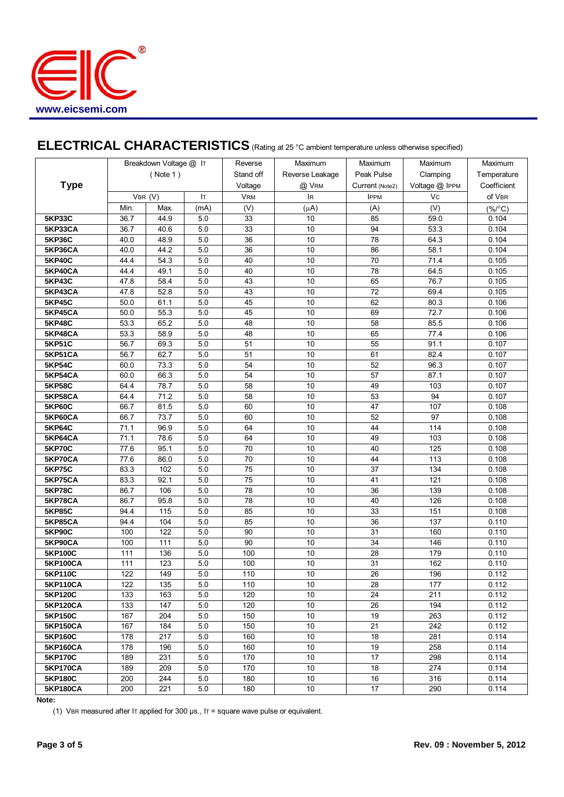

# **ELECTRICAL CHARACTERISTICS** (Rating at 25 °C ambient temperature unless otherwise specified)

| ( Note 1)<br>Stand off<br>Reverse Leakage<br>Peak Pulse<br>Clamping<br>Temperature<br><b>Type</b><br>Voltage<br>Voltage @ IPPM<br>Coefficient<br>@ VRM<br>Current (Note2)<br>Vc<br>of VBR<br>VBR (V)<br>Iт<br><b>VRM</b><br><b>IR</b><br><b>IPPM</b><br>Min.<br>Max.<br>(V)<br>(V)<br>(mA)<br>$(\mu A)$<br>(A)<br>$(\%$ /°C)<br>5.0<br>85<br><b>5KP33C</b><br>36.7<br>44.9<br>33<br>$10$<br>59.0<br>0.104<br>36.7<br>5.0<br>33<br>10<br>94<br>53.3<br>0.104<br>5KP33CA<br>40.6<br>5.0<br>10<br>78<br>0.104<br><b>5KP36C</b><br>40.0<br>48.9<br>36<br>64.3<br>5KP36CA<br>40.0<br>44.2<br>5.0<br>36<br>10<br>86<br>58.1<br>0.104<br>5.0<br><b>5KP40C</b><br>44.4<br>54.3<br>40<br>10<br>70<br>71.4<br>0.105<br>78<br>5KP40CA<br>44.4<br>49.1<br>5.0<br>40<br>10<br>64.5<br>0.105<br>5.0<br><b>5KP43C</b><br>47.8<br>58.4<br>43<br>10<br>65<br>76.7<br>0.105<br>52.8<br>43<br>10<br>72<br>0.105<br>5KP43CA<br>47.8<br>5.0<br>69.4<br>62<br>5.0<br>45<br>10<br>80.3<br><b>5KP45C</b><br>50.0<br>61.1<br>0.106<br>5KP45CA<br>50.0<br>55.3<br>5.0<br>45<br>10<br>69<br>72.7<br>0.106<br>5.0<br>10<br><b>5KP48C</b><br>53.3<br>65.2<br>48<br>58<br>85.5<br>0.106<br>5.0<br>5KP48CA<br>53.3<br>58.9<br>10<br>65<br>0.106<br>48<br>77.4<br>5.0<br>56.7<br>51<br>10<br>55<br><b>5KP51C</b><br>69.3<br>91.1<br>0.107<br>5.0<br>51<br>10<br>61<br><b>5KP51CA</b><br>56.7<br>62.7<br>82.4<br>0.107<br>5.0<br>54<br>10<br>52<br>96.3<br><b>5KP54C</b><br>60.0<br>73.3<br>0.107<br>66.3<br>5.0<br>54<br>10<br>57<br>5KP54CA<br>60.0<br>87.1<br>0.107<br>5.0<br>10<br>49<br><b>5KP58C</b><br>64.4<br>78.7<br>58<br>103<br>0.107<br>5KP58CA<br>64.4<br>71.2<br>5.0<br>58<br>10<br>53<br>94<br>0.107<br>5.0<br>10<br>47<br><b>5KP60C</b><br>66.7<br>81.5<br>60<br>107<br>0.108<br>5.0<br>60<br>10<br>52<br>97<br>5KP60CA<br>66.7<br>73.7<br>0.108<br>10<br>44<br>114<br><b>5KP64C</b><br>71.1<br>96.9<br>5.0<br>64<br>0.108<br>10<br>49<br>5KP64CA<br>71.1<br>78.6<br>5.0<br>64<br>103<br>0.108<br>5.0<br>10<br><b>5KP70C</b><br>77.6<br>95.1<br>70<br>40<br>125<br>0.108<br>5.0<br>10<br>5KP70CA<br>77.6<br>86.0<br>70<br>44<br>113<br>0.108<br><b>5KP75C</b><br>102<br>5.0<br>75<br>10<br>37<br>134<br>0.108<br>83.3<br>5.0<br>75<br>10<br>41<br>121<br>5KP75CA<br>83.3<br>92.1<br>0.108<br><b>5KP78C</b><br>86.7<br>106<br>5.0<br>78<br>10<br>36<br>139<br>0.108<br>5.0<br>78<br>10<br>40<br>126<br>0.108<br>5KP78CA<br>86.7<br>95.8<br>5.0<br><b>5KP85C</b><br>94.4<br>115<br>85<br>10<br>33<br>151<br>0.108<br>5.0<br>10<br><b>5KP85CA</b><br>94.4<br>104<br>85<br>36<br>137<br>0.110<br>$5.0\,$<br><b>5KP90C</b><br>100<br>122<br>90<br>10<br>31<br>0.110<br>160<br>5.0<br>34<br>5KP90CA<br>100<br>111<br>90<br>10<br>146<br>0.110<br>111<br>10<br>28<br>5KP100C<br>136<br>5.0<br>100<br>179<br>0.110<br>10<br>31<br>162<br>111<br>123<br>5.0<br>100<br>0.110<br><b>5KP100CA</b><br>5KP110C<br>122<br>149<br>5.0<br>110<br>10<br>26<br>196<br>0.112<br>0.112<br>5KP110CA<br>122<br>135<br>5.0<br>110<br>10<br>28<br>177<br>5.0<br>10<br><b>5KP120C</b><br>133<br>163<br>120<br>24<br>211<br>0.112<br>133<br>5.0<br>120<br>10<br>26<br>194<br>0.112<br><b>5KP120CA</b><br>147<br>10<br><b>5KP150C</b><br>167<br>204<br>5.0<br>150<br>19<br>263<br>0.112<br><b>5KP150CA</b><br>5.0<br>10<br>21<br>242<br>0.112<br>167<br>184<br>150<br><b>5KP160C</b><br>178<br>217<br>5.0<br>10<br>18<br>281<br>0.114<br>160<br>178<br>5.0<br>10<br>19<br>258<br>5KP160CA<br>196<br>160<br>0.114<br><b>5KP170C</b><br>231<br>10<br>17<br>0.114<br>189<br>5.0<br>170<br>298<br>10<br><b>5KP170CA</b><br>189<br>209<br>5.0<br>170<br>18<br>274<br>0.114<br>5.0<br>$10$<br><b>5KP180C</b><br>200<br>244<br>16<br>316<br>0.114<br>180<br>17<br><b>5KP180CA</b><br>200<br>221<br>5.0<br>10<br>290<br>0.114<br>180 | Breakdown Voltage @ IT |  |  | Reverse | Maximum | Maximum | Maximum | Maximum |
|---------------------------------------------------------------------------------------------------------------------------------------------------------------------------------------------------------------------------------------------------------------------------------------------------------------------------------------------------------------------------------------------------------------------------------------------------------------------------------------------------------------------------------------------------------------------------------------------------------------------------------------------------------------------------------------------------------------------------------------------------------------------------------------------------------------------------------------------------------------------------------------------------------------------------------------------------------------------------------------------------------------------------------------------------------------------------------------------------------------------------------------------------------------------------------------------------------------------------------------------------------------------------------------------------------------------------------------------------------------------------------------------------------------------------------------------------------------------------------------------------------------------------------------------------------------------------------------------------------------------------------------------------------------------------------------------------------------------------------------------------------------------------------------------------------------------------------------------------------------------------------------------------------------------------------------------------------------------------------------------------------------------------------------------------------------------------------------------------------------------------------------------------------------------------------------------------------------------------------------------------------------------------------------------------------------------------------------------------------------------------------------------------------------------------------------------------------------------------------------------------------------------------------------------------------------------------------------------------------------------------------------------------------------------------------------------------------------------------------------------------------------------------------------------------------------------------------------------------------------------------------------------------------------------------------------------------------------------------------------------------------------------------------------------------------------------------------------------------------------------------------------------------------------------------------------------------------------------------------------------------------------------------------------------------------------------------------------------------------------------------------------------------------------------------------------------------------------------------------------------------------------------------------------------------------------------------------------------------------------------------------------------------------------------------------------------------------------------------------------------------------------------------------|------------------------|--|--|---------|---------|---------|---------|---------|
|                                                                                                                                                                                                                                                                                                                                                                                                                                                                                                                                                                                                                                                                                                                                                                                                                                                                                                                                                                                                                                                                                                                                                                                                                                                                                                                                                                                                                                                                                                                                                                                                                                                                                                                                                                                                                                                                                                                                                                                                                                                                                                                                                                                                                                                                                                                                                                                                                                                                                                                                                                                                                                                                                                                                                                                                                                                                                                                                                                                                                                                                                                                                                                                                                                                                                                                                                                                                                                                                                                                                                                                                                                                                                                                                                                                 |                        |  |  |         |         |         |         |         |
|                                                                                                                                                                                                                                                                                                                                                                                                                                                                                                                                                                                                                                                                                                                                                                                                                                                                                                                                                                                                                                                                                                                                                                                                                                                                                                                                                                                                                                                                                                                                                                                                                                                                                                                                                                                                                                                                                                                                                                                                                                                                                                                                                                                                                                                                                                                                                                                                                                                                                                                                                                                                                                                                                                                                                                                                                                                                                                                                                                                                                                                                                                                                                                                                                                                                                                                                                                                                                                                                                                                                                                                                                                                                                                                                                                                 |                        |  |  |         |         |         |         |         |
|                                                                                                                                                                                                                                                                                                                                                                                                                                                                                                                                                                                                                                                                                                                                                                                                                                                                                                                                                                                                                                                                                                                                                                                                                                                                                                                                                                                                                                                                                                                                                                                                                                                                                                                                                                                                                                                                                                                                                                                                                                                                                                                                                                                                                                                                                                                                                                                                                                                                                                                                                                                                                                                                                                                                                                                                                                                                                                                                                                                                                                                                                                                                                                                                                                                                                                                                                                                                                                                                                                                                                                                                                                                                                                                                                                                 |                        |  |  |         |         |         |         |         |
|                                                                                                                                                                                                                                                                                                                                                                                                                                                                                                                                                                                                                                                                                                                                                                                                                                                                                                                                                                                                                                                                                                                                                                                                                                                                                                                                                                                                                                                                                                                                                                                                                                                                                                                                                                                                                                                                                                                                                                                                                                                                                                                                                                                                                                                                                                                                                                                                                                                                                                                                                                                                                                                                                                                                                                                                                                                                                                                                                                                                                                                                                                                                                                                                                                                                                                                                                                                                                                                                                                                                                                                                                                                                                                                                                                                 |                        |  |  |         |         |         |         |         |
|                                                                                                                                                                                                                                                                                                                                                                                                                                                                                                                                                                                                                                                                                                                                                                                                                                                                                                                                                                                                                                                                                                                                                                                                                                                                                                                                                                                                                                                                                                                                                                                                                                                                                                                                                                                                                                                                                                                                                                                                                                                                                                                                                                                                                                                                                                                                                                                                                                                                                                                                                                                                                                                                                                                                                                                                                                                                                                                                                                                                                                                                                                                                                                                                                                                                                                                                                                                                                                                                                                                                                                                                                                                                                                                                                                                 |                        |  |  |         |         |         |         |         |
|                                                                                                                                                                                                                                                                                                                                                                                                                                                                                                                                                                                                                                                                                                                                                                                                                                                                                                                                                                                                                                                                                                                                                                                                                                                                                                                                                                                                                                                                                                                                                                                                                                                                                                                                                                                                                                                                                                                                                                                                                                                                                                                                                                                                                                                                                                                                                                                                                                                                                                                                                                                                                                                                                                                                                                                                                                                                                                                                                                                                                                                                                                                                                                                                                                                                                                                                                                                                                                                                                                                                                                                                                                                                                                                                                                                 |                        |  |  |         |         |         |         |         |
|                                                                                                                                                                                                                                                                                                                                                                                                                                                                                                                                                                                                                                                                                                                                                                                                                                                                                                                                                                                                                                                                                                                                                                                                                                                                                                                                                                                                                                                                                                                                                                                                                                                                                                                                                                                                                                                                                                                                                                                                                                                                                                                                                                                                                                                                                                                                                                                                                                                                                                                                                                                                                                                                                                                                                                                                                                                                                                                                                                                                                                                                                                                                                                                                                                                                                                                                                                                                                                                                                                                                                                                                                                                                                                                                                                                 |                        |  |  |         |         |         |         |         |
|                                                                                                                                                                                                                                                                                                                                                                                                                                                                                                                                                                                                                                                                                                                                                                                                                                                                                                                                                                                                                                                                                                                                                                                                                                                                                                                                                                                                                                                                                                                                                                                                                                                                                                                                                                                                                                                                                                                                                                                                                                                                                                                                                                                                                                                                                                                                                                                                                                                                                                                                                                                                                                                                                                                                                                                                                                                                                                                                                                                                                                                                                                                                                                                                                                                                                                                                                                                                                                                                                                                                                                                                                                                                                                                                                                                 |                        |  |  |         |         |         |         |         |
|                                                                                                                                                                                                                                                                                                                                                                                                                                                                                                                                                                                                                                                                                                                                                                                                                                                                                                                                                                                                                                                                                                                                                                                                                                                                                                                                                                                                                                                                                                                                                                                                                                                                                                                                                                                                                                                                                                                                                                                                                                                                                                                                                                                                                                                                                                                                                                                                                                                                                                                                                                                                                                                                                                                                                                                                                                                                                                                                                                                                                                                                                                                                                                                                                                                                                                                                                                                                                                                                                                                                                                                                                                                                                                                                                                                 |                        |  |  |         |         |         |         |         |
|                                                                                                                                                                                                                                                                                                                                                                                                                                                                                                                                                                                                                                                                                                                                                                                                                                                                                                                                                                                                                                                                                                                                                                                                                                                                                                                                                                                                                                                                                                                                                                                                                                                                                                                                                                                                                                                                                                                                                                                                                                                                                                                                                                                                                                                                                                                                                                                                                                                                                                                                                                                                                                                                                                                                                                                                                                                                                                                                                                                                                                                                                                                                                                                                                                                                                                                                                                                                                                                                                                                                                                                                                                                                                                                                                                                 |                        |  |  |         |         |         |         |         |
|                                                                                                                                                                                                                                                                                                                                                                                                                                                                                                                                                                                                                                                                                                                                                                                                                                                                                                                                                                                                                                                                                                                                                                                                                                                                                                                                                                                                                                                                                                                                                                                                                                                                                                                                                                                                                                                                                                                                                                                                                                                                                                                                                                                                                                                                                                                                                                                                                                                                                                                                                                                                                                                                                                                                                                                                                                                                                                                                                                                                                                                                                                                                                                                                                                                                                                                                                                                                                                                                                                                                                                                                                                                                                                                                                                                 |                        |  |  |         |         |         |         |         |
|                                                                                                                                                                                                                                                                                                                                                                                                                                                                                                                                                                                                                                                                                                                                                                                                                                                                                                                                                                                                                                                                                                                                                                                                                                                                                                                                                                                                                                                                                                                                                                                                                                                                                                                                                                                                                                                                                                                                                                                                                                                                                                                                                                                                                                                                                                                                                                                                                                                                                                                                                                                                                                                                                                                                                                                                                                                                                                                                                                                                                                                                                                                                                                                                                                                                                                                                                                                                                                                                                                                                                                                                                                                                                                                                                                                 |                        |  |  |         |         |         |         |         |
|                                                                                                                                                                                                                                                                                                                                                                                                                                                                                                                                                                                                                                                                                                                                                                                                                                                                                                                                                                                                                                                                                                                                                                                                                                                                                                                                                                                                                                                                                                                                                                                                                                                                                                                                                                                                                                                                                                                                                                                                                                                                                                                                                                                                                                                                                                                                                                                                                                                                                                                                                                                                                                                                                                                                                                                                                                                                                                                                                                                                                                                                                                                                                                                                                                                                                                                                                                                                                                                                                                                                                                                                                                                                                                                                                                                 |                        |  |  |         |         |         |         |         |
|                                                                                                                                                                                                                                                                                                                                                                                                                                                                                                                                                                                                                                                                                                                                                                                                                                                                                                                                                                                                                                                                                                                                                                                                                                                                                                                                                                                                                                                                                                                                                                                                                                                                                                                                                                                                                                                                                                                                                                                                                                                                                                                                                                                                                                                                                                                                                                                                                                                                                                                                                                                                                                                                                                                                                                                                                                                                                                                                                                                                                                                                                                                                                                                                                                                                                                                                                                                                                                                                                                                                                                                                                                                                                                                                                                                 |                        |  |  |         |         |         |         |         |
|                                                                                                                                                                                                                                                                                                                                                                                                                                                                                                                                                                                                                                                                                                                                                                                                                                                                                                                                                                                                                                                                                                                                                                                                                                                                                                                                                                                                                                                                                                                                                                                                                                                                                                                                                                                                                                                                                                                                                                                                                                                                                                                                                                                                                                                                                                                                                                                                                                                                                                                                                                                                                                                                                                                                                                                                                                                                                                                                                                                                                                                                                                                                                                                                                                                                                                                                                                                                                                                                                                                                                                                                                                                                                                                                                                                 |                        |  |  |         |         |         |         |         |
|                                                                                                                                                                                                                                                                                                                                                                                                                                                                                                                                                                                                                                                                                                                                                                                                                                                                                                                                                                                                                                                                                                                                                                                                                                                                                                                                                                                                                                                                                                                                                                                                                                                                                                                                                                                                                                                                                                                                                                                                                                                                                                                                                                                                                                                                                                                                                                                                                                                                                                                                                                                                                                                                                                                                                                                                                                                                                                                                                                                                                                                                                                                                                                                                                                                                                                                                                                                                                                                                                                                                                                                                                                                                                                                                                                                 |                        |  |  |         |         |         |         |         |
|                                                                                                                                                                                                                                                                                                                                                                                                                                                                                                                                                                                                                                                                                                                                                                                                                                                                                                                                                                                                                                                                                                                                                                                                                                                                                                                                                                                                                                                                                                                                                                                                                                                                                                                                                                                                                                                                                                                                                                                                                                                                                                                                                                                                                                                                                                                                                                                                                                                                                                                                                                                                                                                                                                                                                                                                                                                                                                                                                                                                                                                                                                                                                                                                                                                                                                                                                                                                                                                                                                                                                                                                                                                                                                                                                                                 |                        |  |  |         |         |         |         |         |
|                                                                                                                                                                                                                                                                                                                                                                                                                                                                                                                                                                                                                                                                                                                                                                                                                                                                                                                                                                                                                                                                                                                                                                                                                                                                                                                                                                                                                                                                                                                                                                                                                                                                                                                                                                                                                                                                                                                                                                                                                                                                                                                                                                                                                                                                                                                                                                                                                                                                                                                                                                                                                                                                                                                                                                                                                                                                                                                                                                                                                                                                                                                                                                                                                                                                                                                                                                                                                                                                                                                                                                                                                                                                                                                                                                                 |                        |  |  |         |         |         |         |         |
|                                                                                                                                                                                                                                                                                                                                                                                                                                                                                                                                                                                                                                                                                                                                                                                                                                                                                                                                                                                                                                                                                                                                                                                                                                                                                                                                                                                                                                                                                                                                                                                                                                                                                                                                                                                                                                                                                                                                                                                                                                                                                                                                                                                                                                                                                                                                                                                                                                                                                                                                                                                                                                                                                                                                                                                                                                                                                                                                                                                                                                                                                                                                                                                                                                                                                                                                                                                                                                                                                                                                                                                                                                                                                                                                                                                 |                        |  |  |         |         |         |         |         |
|                                                                                                                                                                                                                                                                                                                                                                                                                                                                                                                                                                                                                                                                                                                                                                                                                                                                                                                                                                                                                                                                                                                                                                                                                                                                                                                                                                                                                                                                                                                                                                                                                                                                                                                                                                                                                                                                                                                                                                                                                                                                                                                                                                                                                                                                                                                                                                                                                                                                                                                                                                                                                                                                                                                                                                                                                                                                                                                                                                                                                                                                                                                                                                                                                                                                                                                                                                                                                                                                                                                                                                                                                                                                                                                                                                                 |                        |  |  |         |         |         |         |         |
|                                                                                                                                                                                                                                                                                                                                                                                                                                                                                                                                                                                                                                                                                                                                                                                                                                                                                                                                                                                                                                                                                                                                                                                                                                                                                                                                                                                                                                                                                                                                                                                                                                                                                                                                                                                                                                                                                                                                                                                                                                                                                                                                                                                                                                                                                                                                                                                                                                                                                                                                                                                                                                                                                                                                                                                                                                                                                                                                                                                                                                                                                                                                                                                                                                                                                                                                                                                                                                                                                                                                                                                                                                                                                                                                                                                 |                        |  |  |         |         |         |         |         |
|                                                                                                                                                                                                                                                                                                                                                                                                                                                                                                                                                                                                                                                                                                                                                                                                                                                                                                                                                                                                                                                                                                                                                                                                                                                                                                                                                                                                                                                                                                                                                                                                                                                                                                                                                                                                                                                                                                                                                                                                                                                                                                                                                                                                                                                                                                                                                                                                                                                                                                                                                                                                                                                                                                                                                                                                                                                                                                                                                                                                                                                                                                                                                                                                                                                                                                                                                                                                                                                                                                                                                                                                                                                                                                                                                                                 |                        |  |  |         |         |         |         |         |
|                                                                                                                                                                                                                                                                                                                                                                                                                                                                                                                                                                                                                                                                                                                                                                                                                                                                                                                                                                                                                                                                                                                                                                                                                                                                                                                                                                                                                                                                                                                                                                                                                                                                                                                                                                                                                                                                                                                                                                                                                                                                                                                                                                                                                                                                                                                                                                                                                                                                                                                                                                                                                                                                                                                                                                                                                                                                                                                                                                                                                                                                                                                                                                                                                                                                                                                                                                                                                                                                                                                                                                                                                                                                                                                                                                                 |                        |  |  |         |         |         |         |         |
|                                                                                                                                                                                                                                                                                                                                                                                                                                                                                                                                                                                                                                                                                                                                                                                                                                                                                                                                                                                                                                                                                                                                                                                                                                                                                                                                                                                                                                                                                                                                                                                                                                                                                                                                                                                                                                                                                                                                                                                                                                                                                                                                                                                                                                                                                                                                                                                                                                                                                                                                                                                                                                                                                                                                                                                                                                                                                                                                                                                                                                                                                                                                                                                                                                                                                                                                                                                                                                                                                                                                                                                                                                                                                                                                                                                 |                        |  |  |         |         |         |         |         |
|                                                                                                                                                                                                                                                                                                                                                                                                                                                                                                                                                                                                                                                                                                                                                                                                                                                                                                                                                                                                                                                                                                                                                                                                                                                                                                                                                                                                                                                                                                                                                                                                                                                                                                                                                                                                                                                                                                                                                                                                                                                                                                                                                                                                                                                                                                                                                                                                                                                                                                                                                                                                                                                                                                                                                                                                                                                                                                                                                                                                                                                                                                                                                                                                                                                                                                                                                                                                                                                                                                                                                                                                                                                                                                                                                                                 |                        |  |  |         |         |         |         |         |
|                                                                                                                                                                                                                                                                                                                                                                                                                                                                                                                                                                                                                                                                                                                                                                                                                                                                                                                                                                                                                                                                                                                                                                                                                                                                                                                                                                                                                                                                                                                                                                                                                                                                                                                                                                                                                                                                                                                                                                                                                                                                                                                                                                                                                                                                                                                                                                                                                                                                                                                                                                                                                                                                                                                                                                                                                                                                                                                                                                                                                                                                                                                                                                                                                                                                                                                                                                                                                                                                                                                                                                                                                                                                                                                                                                                 |                        |  |  |         |         |         |         |         |
|                                                                                                                                                                                                                                                                                                                                                                                                                                                                                                                                                                                                                                                                                                                                                                                                                                                                                                                                                                                                                                                                                                                                                                                                                                                                                                                                                                                                                                                                                                                                                                                                                                                                                                                                                                                                                                                                                                                                                                                                                                                                                                                                                                                                                                                                                                                                                                                                                                                                                                                                                                                                                                                                                                                                                                                                                                                                                                                                                                                                                                                                                                                                                                                                                                                                                                                                                                                                                                                                                                                                                                                                                                                                                                                                                                                 |                        |  |  |         |         |         |         |         |
|                                                                                                                                                                                                                                                                                                                                                                                                                                                                                                                                                                                                                                                                                                                                                                                                                                                                                                                                                                                                                                                                                                                                                                                                                                                                                                                                                                                                                                                                                                                                                                                                                                                                                                                                                                                                                                                                                                                                                                                                                                                                                                                                                                                                                                                                                                                                                                                                                                                                                                                                                                                                                                                                                                                                                                                                                                                                                                                                                                                                                                                                                                                                                                                                                                                                                                                                                                                                                                                                                                                                                                                                                                                                                                                                                                                 |                        |  |  |         |         |         |         |         |
|                                                                                                                                                                                                                                                                                                                                                                                                                                                                                                                                                                                                                                                                                                                                                                                                                                                                                                                                                                                                                                                                                                                                                                                                                                                                                                                                                                                                                                                                                                                                                                                                                                                                                                                                                                                                                                                                                                                                                                                                                                                                                                                                                                                                                                                                                                                                                                                                                                                                                                                                                                                                                                                                                                                                                                                                                                                                                                                                                                                                                                                                                                                                                                                                                                                                                                                                                                                                                                                                                                                                                                                                                                                                                                                                                                                 |                        |  |  |         |         |         |         |         |
|                                                                                                                                                                                                                                                                                                                                                                                                                                                                                                                                                                                                                                                                                                                                                                                                                                                                                                                                                                                                                                                                                                                                                                                                                                                                                                                                                                                                                                                                                                                                                                                                                                                                                                                                                                                                                                                                                                                                                                                                                                                                                                                                                                                                                                                                                                                                                                                                                                                                                                                                                                                                                                                                                                                                                                                                                                                                                                                                                                                                                                                                                                                                                                                                                                                                                                                                                                                                                                                                                                                                                                                                                                                                                                                                                                                 |                        |  |  |         |         |         |         |         |
|                                                                                                                                                                                                                                                                                                                                                                                                                                                                                                                                                                                                                                                                                                                                                                                                                                                                                                                                                                                                                                                                                                                                                                                                                                                                                                                                                                                                                                                                                                                                                                                                                                                                                                                                                                                                                                                                                                                                                                                                                                                                                                                                                                                                                                                                                                                                                                                                                                                                                                                                                                                                                                                                                                                                                                                                                                                                                                                                                                                                                                                                                                                                                                                                                                                                                                                                                                                                                                                                                                                                                                                                                                                                                                                                                                                 |                        |  |  |         |         |         |         |         |
|                                                                                                                                                                                                                                                                                                                                                                                                                                                                                                                                                                                                                                                                                                                                                                                                                                                                                                                                                                                                                                                                                                                                                                                                                                                                                                                                                                                                                                                                                                                                                                                                                                                                                                                                                                                                                                                                                                                                                                                                                                                                                                                                                                                                                                                                                                                                                                                                                                                                                                                                                                                                                                                                                                                                                                                                                                                                                                                                                                                                                                                                                                                                                                                                                                                                                                                                                                                                                                                                                                                                                                                                                                                                                                                                                                                 |                        |  |  |         |         |         |         |         |
|                                                                                                                                                                                                                                                                                                                                                                                                                                                                                                                                                                                                                                                                                                                                                                                                                                                                                                                                                                                                                                                                                                                                                                                                                                                                                                                                                                                                                                                                                                                                                                                                                                                                                                                                                                                                                                                                                                                                                                                                                                                                                                                                                                                                                                                                                                                                                                                                                                                                                                                                                                                                                                                                                                                                                                                                                                                                                                                                                                                                                                                                                                                                                                                                                                                                                                                                                                                                                                                                                                                                                                                                                                                                                                                                                                                 |                        |  |  |         |         |         |         |         |
|                                                                                                                                                                                                                                                                                                                                                                                                                                                                                                                                                                                                                                                                                                                                                                                                                                                                                                                                                                                                                                                                                                                                                                                                                                                                                                                                                                                                                                                                                                                                                                                                                                                                                                                                                                                                                                                                                                                                                                                                                                                                                                                                                                                                                                                                                                                                                                                                                                                                                                                                                                                                                                                                                                                                                                                                                                                                                                                                                                                                                                                                                                                                                                                                                                                                                                                                                                                                                                                                                                                                                                                                                                                                                                                                                                                 |                        |  |  |         |         |         |         |         |
|                                                                                                                                                                                                                                                                                                                                                                                                                                                                                                                                                                                                                                                                                                                                                                                                                                                                                                                                                                                                                                                                                                                                                                                                                                                                                                                                                                                                                                                                                                                                                                                                                                                                                                                                                                                                                                                                                                                                                                                                                                                                                                                                                                                                                                                                                                                                                                                                                                                                                                                                                                                                                                                                                                                                                                                                                                                                                                                                                                                                                                                                                                                                                                                                                                                                                                                                                                                                                                                                                                                                                                                                                                                                                                                                                                                 |                        |  |  |         |         |         |         |         |
|                                                                                                                                                                                                                                                                                                                                                                                                                                                                                                                                                                                                                                                                                                                                                                                                                                                                                                                                                                                                                                                                                                                                                                                                                                                                                                                                                                                                                                                                                                                                                                                                                                                                                                                                                                                                                                                                                                                                                                                                                                                                                                                                                                                                                                                                                                                                                                                                                                                                                                                                                                                                                                                                                                                                                                                                                                                                                                                                                                                                                                                                                                                                                                                                                                                                                                                                                                                                                                                                                                                                                                                                                                                                                                                                                                                 |                        |  |  |         |         |         |         |         |
|                                                                                                                                                                                                                                                                                                                                                                                                                                                                                                                                                                                                                                                                                                                                                                                                                                                                                                                                                                                                                                                                                                                                                                                                                                                                                                                                                                                                                                                                                                                                                                                                                                                                                                                                                                                                                                                                                                                                                                                                                                                                                                                                                                                                                                                                                                                                                                                                                                                                                                                                                                                                                                                                                                                                                                                                                                                                                                                                                                                                                                                                                                                                                                                                                                                                                                                                                                                                                                                                                                                                                                                                                                                                                                                                                                                 |                        |  |  |         |         |         |         |         |
|                                                                                                                                                                                                                                                                                                                                                                                                                                                                                                                                                                                                                                                                                                                                                                                                                                                                                                                                                                                                                                                                                                                                                                                                                                                                                                                                                                                                                                                                                                                                                                                                                                                                                                                                                                                                                                                                                                                                                                                                                                                                                                                                                                                                                                                                                                                                                                                                                                                                                                                                                                                                                                                                                                                                                                                                                                                                                                                                                                                                                                                                                                                                                                                                                                                                                                                                                                                                                                                                                                                                                                                                                                                                                                                                                                                 |                        |  |  |         |         |         |         |         |
|                                                                                                                                                                                                                                                                                                                                                                                                                                                                                                                                                                                                                                                                                                                                                                                                                                                                                                                                                                                                                                                                                                                                                                                                                                                                                                                                                                                                                                                                                                                                                                                                                                                                                                                                                                                                                                                                                                                                                                                                                                                                                                                                                                                                                                                                                                                                                                                                                                                                                                                                                                                                                                                                                                                                                                                                                                                                                                                                                                                                                                                                                                                                                                                                                                                                                                                                                                                                                                                                                                                                                                                                                                                                                                                                                                                 |                        |  |  |         |         |         |         |         |
|                                                                                                                                                                                                                                                                                                                                                                                                                                                                                                                                                                                                                                                                                                                                                                                                                                                                                                                                                                                                                                                                                                                                                                                                                                                                                                                                                                                                                                                                                                                                                                                                                                                                                                                                                                                                                                                                                                                                                                                                                                                                                                                                                                                                                                                                                                                                                                                                                                                                                                                                                                                                                                                                                                                                                                                                                                                                                                                                                                                                                                                                                                                                                                                                                                                                                                                                                                                                                                                                                                                                                                                                                                                                                                                                                                                 |                        |  |  |         |         |         |         |         |
|                                                                                                                                                                                                                                                                                                                                                                                                                                                                                                                                                                                                                                                                                                                                                                                                                                                                                                                                                                                                                                                                                                                                                                                                                                                                                                                                                                                                                                                                                                                                                                                                                                                                                                                                                                                                                                                                                                                                                                                                                                                                                                                                                                                                                                                                                                                                                                                                                                                                                                                                                                                                                                                                                                                                                                                                                                                                                                                                                                                                                                                                                                                                                                                                                                                                                                                                                                                                                                                                                                                                                                                                                                                                                                                                                                                 |                        |  |  |         |         |         |         |         |
|                                                                                                                                                                                                                                                                                                                                                                                                                                                                                                                                                                                                                                                                                                                                                                                                                                                                                                                                                                                                                                                                                                                                                                                                                                                                                                                                                                                                                                                                                                                                                                                                                                                                                                                                                                                                                                                                                                                                                                                                                                                                                                                                                                                                                                                                                                                                                                                                                                                                                                                                                                                                                                                                                                                                                                                                                                                                                                                                                                                                                                                                                                                                                                                                                                                                                                                                                                                                                                                                                                                                                                                                                                                                                                                                                                                 |                        |  |  |         |         |         |         |         |
|                                                                                                                                                                                                                                                                                                                                                                                                                                                                                                                                                                                                                                                                                                                                                                                                                                                                                                                                                                                                                                                                                                                                                                                                                                                                                                                                                                                                                                                                                                                                                                                                                                                                                                                                                                                                                                                                                                                                                                                                                                                                                                                                                                                                                                                                                                                                                                                                                                                                                                                                                                                                                                                                                                                                                                                                                                                                                                                                                                                                                                                                                                                                                                                                                                                                                                                                                                                                                                                                                                                                                                                                                                                                                                                                                                                 |                        |  |  |         |         |         |         |         |
|                                                                                                                                                                                                                                                                                                                                                                                                                                                                                                                                                                                                                                                                                                                                                                                                                                                                                                                                                                                                                                                                                                                                                                                                                                                                                                                                                                                                                                                                                                                                                                                                                                                                                                                                                                                                                                                                                                                                                                                                                                                                                                                                                                                                                                                                                                                                                                                                                                                                                                                                                                                                                                                                                                                                                                                                                                                                                                                                                                                                                                                                                                                                                                                                                                                                                                                                                                                                                                                                                                                                                                                                                                                                                                                                                                                 |                        |  |  |         |         |         |         |         |
|                                                                                                                                                                                                                                                                                                                                                                                                                                                                                                                                                                                                                                                                                                                                                                                                                                                                                                                                                                                                                                                                                                                                                                                                                                                                                                                                                                                                                                                                                                                                                                                                                                                                                                                                                                                                                                                                                                                                                                                                                                                                                                                                                                                                                                                                                                                                                                                                                                                                                                                                                                                                                                                                                                                                                                                                                                                                                                                                                                                                                                                                                                                                                                                                                                                                                                                                                                                                                                                                                                                                                                                                                                                                                                                                                                                 |                        |  |  |         |         |         |         |         |
|                                                                                                                                                                                                                                                                                                                                                                                                                                                                                                                                                                                                                                                                                                                                                                                                                                                                                                                                                                                                                                                                                                                                                                                                                                                                                                                                                                                                                                                                                                                                                                                                                                                                                                                                                                                                                                                                                                                                                                                                                                                                                                                                                                                                                                                                                                                                                                                                                                                                                                                                                                                                                                                                                                                                                                                                                                                                                                                                                                                                                                                                                                                                                                                                                                                                                                                                                                                                                                                                                                                                                                                                                                                                                                                                                                                 |                        |  |  |         |         |         |         |         |
|                                                                                                                                                                                                                                                                                                                                                                                                                                                                                                                                                                                                                                                                                                                                                                                                                                                                                                                                                                                                                                                                                                                                                                                                                                                                                                                                                                                                                                                                                                                                                                                                                                                                                                                                                                                                                                                                                                                                                                                                                                                                                                                                                                                                                                                                                                                                                                                                                                                                                                                                                                                                                                                                                                                                                                                                                                                                                                                                                                                                                                                                                                                                                                                                                                                                                                                                                                                                                                                                                                                                                                                                                                                                                                                                                                                 |                        |  |  |         |         |         |         |         |
|                                                                                                                                                                                                                                                                                                                                                                                                                                                                                                                                                                                                                                                                                                                                                                                                                                                                                                                                                                                                                                                                                                                                                                                                                                                                                                                                                                                                                                                                                                                                                                                                                                                                                                                                                                                                                                                                                                                                                                                                                                                                                                                                                                                                                                                                                                                                                                                                                                                                                                                                                                                                                                                                                                                                                                                                                                                                                                                                                                                                                                                                                                                                                                                                                                                                                                                                                                                                                                                                                                                                                                                                                                                                                                                                                                                 |                        |  |  |         |         |         |         |         |
|                                                                                                                                                                                                                                                                                                                                                                                                                                                                                                                                                                                                                                                                                                                                                                                                                                                                                                                                                                                                                                                                                                                                                                                                                                                                                                                                                                                                                                                                                                                                                                                                                                                                                                                                                                                                                                                                                                                                                                                                                                                                                                                                                                                                                                                                                                                                                                                                                                                                                                                                                                                                                                                                                                                                                                                                                                                                                                                                                                                                                                                                                                                                                                                                                                                                                                                                                                                                                                                                                                                                                                                                                                                                                                                                                                                 |                        |  |  |         |         |         |         |         |

**Note:**

(1) VBR measured after IT applied for 300  $\mu$ s., IT = square wave pulse or equivalent.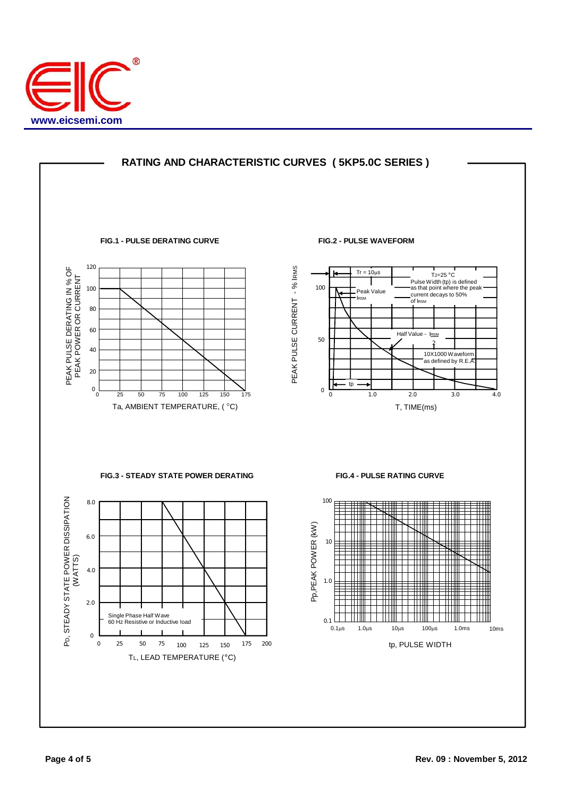